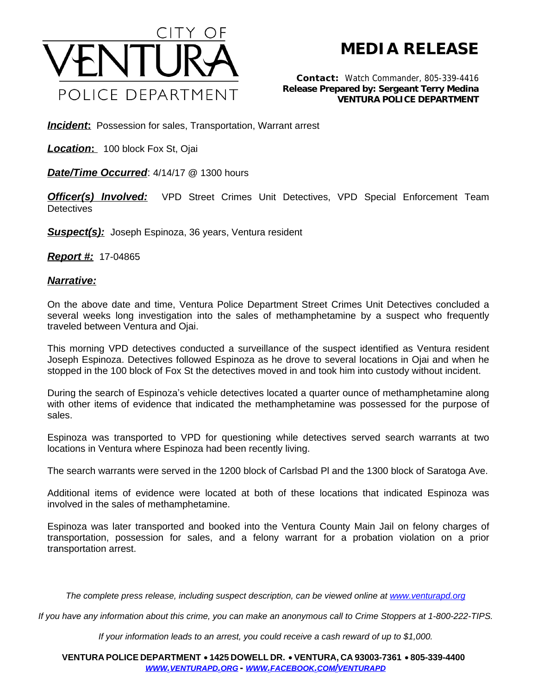

## **MEDIA RELEASE**

*Contact:* Watch Commander, 805-339-4416 *Release Prepared by: Sergeant Terry Medina* **VENTURA POLICE DEPARTMENT**

**Incident:** Possession for sales, Transportation, Warrant arrest

*Location***:** 100 block Fox St, Ojai

*Date/Time Occurred*: 4/14/17 @ 1300 hours

**Officer(s) Involved:** VPD Street Crimes Unit Detectives, VPD Special Enforcement Team **Detectives** 

*Suspect(s):* Joseph Espinoza, 36 years, Ventura resident

*Report #:* 17-04865

## *Narrative:*

On the above date and time, Ventura Police Department Street Crimes Unit Detectives concluded a several weeks long investigation into the sales of methamphetamine by a suspect who frequently traveled between Ventura and Ojai.

This morning VPD detectives conducted a surveillance of the suspect identified as Ventura resident Joseph Espinoza. Detectives followed Espinoza as he drove to several locations in Ojai and when he stopped in the 100 block of Fox St the detectives moved in and took him into custody without incident.

During the search of Espinoza's vehicle detectives located a quarter ounce of methamphetamine along with other items of evidence that indicated the methamphetamine was possessed for the purpose of sales.

Espinoza was transported to VPD for questioning while detectives served search warrants at two locations in Ventura where Espinoza had been recently living.

The search warrants were served in the 1200 block of Carlsbad Pl and the 1300 block of Saratoga Ave.

Additional items of evidence were located at both of these locations that indicated Espinoza was involved in the sales of methamphetamine.

Espinoza was later transported and booked into the Ventura County Main Jail on felony charges of transportation, possession for sales, and a felony warrant for a probation violation on a prior transportation arrest.

*The complete press release, including suspect description, can be viewed online at [www.venturapd.org](http://www.venturapd.org)*

*If you have any information about this crime, you can make an anonymous call to Crime Stoppers at 1-800-222-TIPS.*

*If your information leads to an arrest, you could receive a cash reward of up to \$1,000.*

**VENTURA POLICE DEPARTMENT** ·**1425 DOWELL DR.** · **VENTURA, CA 93003-7361** ·**805-339-4400**  *WWW.[VENTURAPD](http://www.venturapd.org).ORG* **-** *WWW.FACEBOOK.COM/[VENTURAPD](http://www.facebook.com/venturapd)*